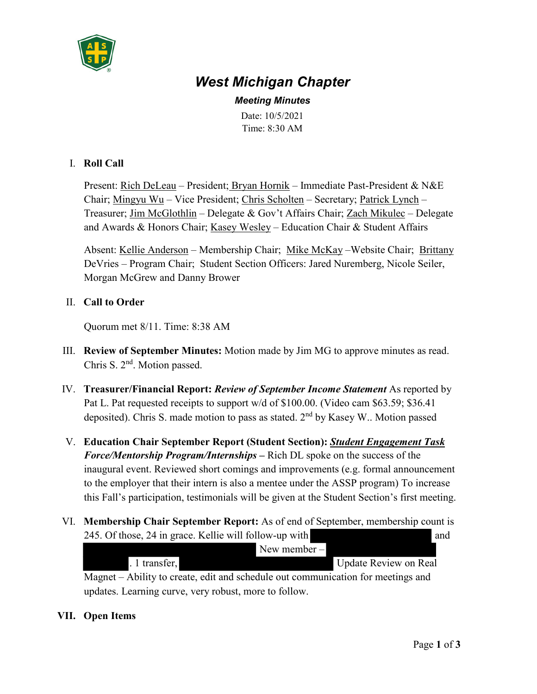

# *West Michigan Chapter*

*Meeting Minutes* Date: 10/5/2021 Time: 8:30 AM

## I. **Roll Call**

Present: Rich DeLeau – President; Bryan Hornik – Immediate Past-President & N&E Chair; Mingyu Wu – Vice President; Chris Scholten – Secretary; Patrick Lynch – Treasurer; Jim McGlothlin – Delegate & Gov't Affairs Chair; Zach Mikulec – Delegate and Awards & Honors Chair; Kasey Wesley – Education Chair & Student Affairs

Absent: Kellie Anderson – Membership Chair; Mike McKay –Website Chair; Brittany DeVries – Program Chair; Student Section Officers: Jared Nuremberg, Nicole Seiler, Morgan McGrew and Danny Brower

# II. **Call to Order**

Quorum met 8/11. Time: 8:38 AM

- III. **Review of September Minutes:** Motion made by Jim MG to approve minutes as read. Chris S. 2<sup>nd</sup>. Motion passed.
- IV. **Treasurer/Financial Report:** *Review of September Income Statement* As reported by Pat L. Pat requested receipts to support w/d of \$100.00. (Video cam \$63.59; \$36.41 deposited). Chris S. made motion to pass as stated.  $2<sup>nd</sup>$  by Kasey W.. Motion passed
- V. **Education Chair September Report (Student Section):** *Student Engagement Task Force/Mentorship Program/Internships* **–** Rich DL spoke on the success of the inaugural event. Reviewed short comings and improvements (e.g. formal announcement to the employer that their intern is also a mentee under the ASSP program) To increase this Fall's participation, testimonials will be given at the Student Section's first meeting.
- VI. **Membership Chair September Report:** As of end of September, membership count is 245. Of those, 24 in grace. Kellie will follow-up with and

|                                                                                  | New member $-$        |
|----------------------------------------------------------------------------------|-----------------------|
| . 1 transfer,                                                                    | Update Review on Real |
| Magnet – Ability to create, edit and schedule out communication for meetings and |                       |

updates. Learning curve, very robust, more to follow.

## **VII. Open Items**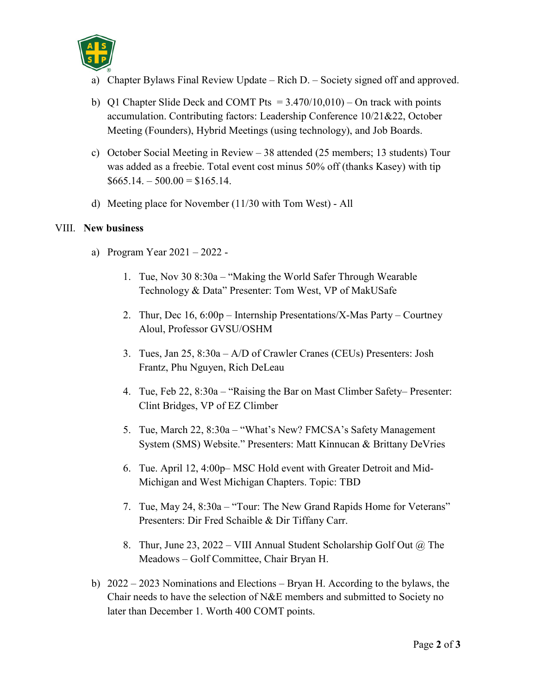

- a) Chapter Bylaws Final Review Update Rich D. Society signed off and approved.
- b) Q1 Chapter Slide Deck and COMT Pts  $= 3.470/10,010$  On track with points accumulation. Contributing factors: Leadership Conference 10/21&22, October Meeting (Founders), Hybrid Meetings (using technology), and Job Boards.
- c) October Social Meeting in Review 38 attended (25 members; 13 students) Tour was added as a freebie. Total event cost minus 50% off (thanks Kasey) with tip  $$665.14 - 500.00 = $165.14.$
- d) Meeting place for November (11/30 with Tom West) All

#### VIII. **New business**

- a) Program Year 2021 2022
	- 1. Tue, Nov 30 8:30a "Making the World Safer Through Wearable Technology & Data" Presenter: Tom West, VP of MakUSafe
	- 2. Thur, Dec 16, 6:00p Internship Presentations/X-Mas Party Courtney Aloul, Professor GVSU/OSHM
	- 3. Tues, Jan 25, 8:30a A/D of Crawler Cranes (CEUs) Presenters: Josh Frantz, Phu Nguyen, Rich DeLeau
	- 4. Tue, Feb 22, 8:30a "Raising the Bar on Mast Climber Safety– Presenter: Clint Bridges, VP of EZ Climber
	- 5. Tue, March 22, 8:30a "What's New? FMCSA's Safety Management System (SMS) Website." Presenters: Matt Kinnucan & Brittany DeVries
	- 6. Tue. April 12, 4:00p– MSC Hold event with Greater Detroit and Mid-Michigan and West Michigan Chapters. Topic: TBD
	- 7. Tue, May 24, 8:30a "Tour: The New Grand Rapids Home for Veterans" Presenters: Dir Fred Schaible & Dir Tiffany Carr.
	- 8. Thur, June 23, 2022 VIII Annual Student Scholarship Golf Out  $\omega$  The Meadows – Golf Committee, Chair Bryan H.
- b) 2022 2023 Nominations and Elections Bryan H. According to the bylaws, the Chair needs to have the selection of N&E members and submitted to Society no later than December 1. Worth 400 COMT points.